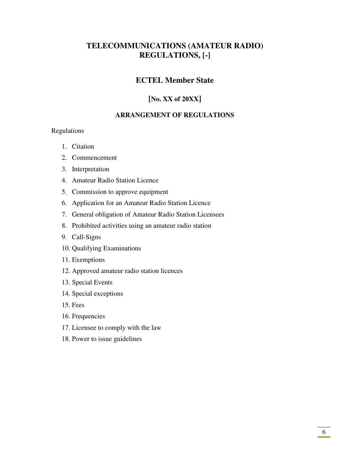# **TELECOMMUNICATIONS (AMATEUR RADIO) REGULATIONS, [-]**

# **ECTEL Member State**

# **[No. XX of 20XX]**

### **ARRANGEMENT OF REGULATIONS**

### Regulations

- 1. Citation
- 2. Commencement
- 3. Interpretation
- 4. Amateur Radio Station Licence
- 5. Commission to approve equipment
- 6. Application for an Amateur Radio Station Licence
- 7. General obligation of Amateur Radio Station Licensees
- 8. Prohibited activities using an amateur radio station
- 9. Call-Signs
- 10. Qualifying Examinations
- 11. Exemptions
- 12. Approved amateur radio station licences
- 13. Special Events
- 14. Special exceptions
- 15. Fees
- 16. Frequencies
- 17. Licensee to comply with the law
- 18. Power to issue guidelines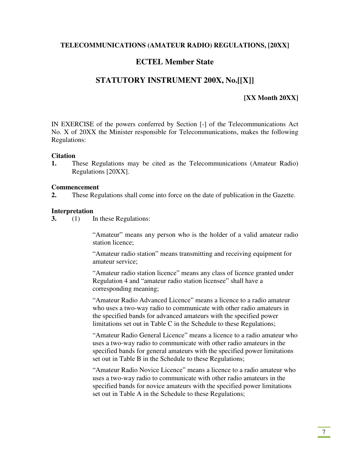### **TELECOMMUNICATIONS (AMATEUR RADIO) REGULATIONS, [20XX]**

# **ECTEL Member State**

# **STATUTORY INSTRUMENT 200X, No.[[X]]**

### **[XX Month 20XX]**

IN EXERCISE of the powers conferred by Section [-] of the Telecommunications Act No. X of 20XX the Minister responsible for Telecommunications, makes the following Regulations:

#### **Citation**

**1.** These Regulations may be cited as the Telecommunications (Amateur Radio) Regulations [20XX].

#### **Commencement**

**2.** These Regulations shall come into force on the date of publication in the Gazette.

#### **Interpretation**

**3.** (1) In these Regulations:

"Amateur" means any person who is the holder of a valid amateur radio station licence;

"Amateur radio station" means transmitting and receiving equipment for amateur service;

"Amateur radio station licence" means any class of licence granted under Regulation 4 and "amateur radio station licensee" shall have a corresponding meaning;

"Amateur Radio Advanced Licence" means a licence to a radio amateur who uses a two-way radio to communicate with other radio amateurs in the specified bands for advanced amateurs with the specified power limitations set out in Table C in the Schedule to these Regulations;

"Amateur Radio General Licence" means a licence to a radio amateur who uses a two-way radio to communicate with other radio amateurs in the specified bands for general amateurs with the specified power limitations set out in Table B in the Schedule to these Regulations;

"Amateur Radio Novice Licence" means a licence to a radio amateur who uses a two-way radio to communicate with other radio amateurs in the specified bands for novice amateurs with the specified power limitations set out in Table A in the Schedule to these Regulations;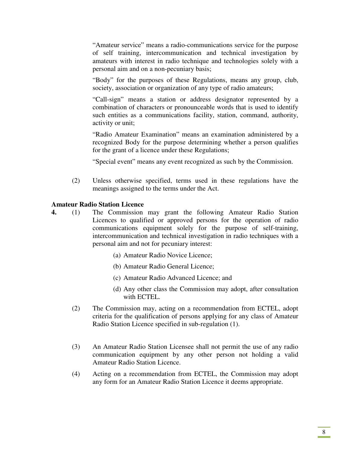"Amateur service" means a radio-communications service for the purpose of self training, intercommunication and technical investigation by amateurs with interest in radio technique and technologies solely with a personal aim and on a non-pecuniary basis;

"Body" for the purposes of these Regulations, means any group, club, society, association or organization of any type of radio amateurs;

"Call-sign" means a station or address designator represented by a combination of characters or pronounceable words that is used to identify such entities as a communications facility, station, command, authority, activity or unit;

"Radio Amateur Examination" means an examination administered by a recognized Body for the purpose determining whether a person qualifies for the grant of a licence under these Regulations;

"Special event" means any event recognized as such by the Commission.

(2) Unless otherwise specified, terms used in these regulations have the meanings assigned to the terms under the Act.

#### **Amateur Radio Station Licence**

- **4.** (1) The Commission may grant the following Amateur Radio Station Licences to qualified or approved persons for the operation of radio communications equipment solely for the purpose of self-training, intercommunication and technical investigation in radio techniques with a personal aim and not for pecuniary interest:
	- (a) Amateur Radio Novice Licence;
	- (b) Amateur Radio General Licence;
	- (c) Amateur Radio Advanced Licence; and
	- (d) Any other class the Commission may adopt, after consultation with ECTEL.
	- (2) The Commission may, acting on a recommendation from ECTEL, adopt criteria for the qualification of persons applying for any class of Amateur Radio Station Licence specified in sub-regulation (1).
	- (3) An Amateur Radio Station Licensee shall not permit the use of any radio communication equipment by any other person not holding a valid Amateur Radio Station Licence.
	- (4) Acting on a recommendation from ECTEL, the Commission may adopt any form for an Amateur Radio Station Licence it deems appropriate.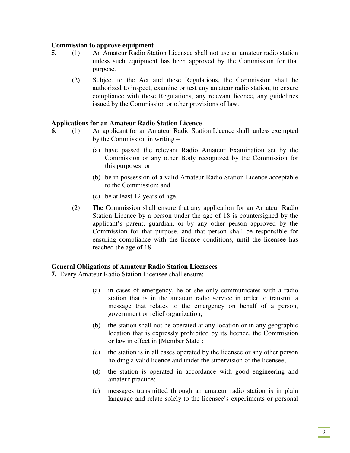#### **Commission to approve equipment**

- **5.** (1) An Amateur Radio Station Licensee shall not use an amateur radio station unless such equipment has been approved by the Commission for that purpose.
	- (2) Subject to the Act and these Regulations, the Commission shall be authorized to inspect, examine or test any amateur radio station, to ensure compliance with these Regulations, any relevant licence, any guidelines issued by the Commission or other provisions of law.

#### **Applications for an Amateur Radio Station Licence**

- **6.** (1) An applicant for an Amateur Radio Station Licence shall, unless exempted by the Commission in writing –
	- (a) have passed the relevant Radio Amateur Examination set by the Commission or any other Body recognized by the Commission for this purposes; or
	- (b) be in possession of a valid Amateur Radio Station Licence acceptable to the Commission; and
	- (c) be at least 12 years of age.
	- (2) The Commission shall ensure that any application for an Amateur Radio Station Licence by a person under the age of 18 is countersigned by the applicant's parent, guardian, or by any other person approved by the Commission for that purpose, and that person shall be responsible for ensuring compliance with the licence conditions, until the licensee has reached the age of 18.

#### **General Obligations of Amateur Radio Station Licensees**

**7.** Every Amateur Radio Station Licensee shall ensure:

- (a) in cases of emergency, he or she only communicates with a radio station that is in the amateur radio service in order to transmit a message that relates to the emergency on behalf of a person, government or relief organization;
- (b) the station shall not be operated at any location or in any geographic location that is expressly prohibited by its licence, the Commission or law in effect in [Member State];
- (c) the station is in all cases operated by the licensee or any other person holding a valid licence and under the supervision of the licensee;
- (d) the station is operated in accordance with good engineering and amateur practice;
- (e) messages transmitted through an amateur radio station is in plain language and relate solely to the licensee's experiments or personal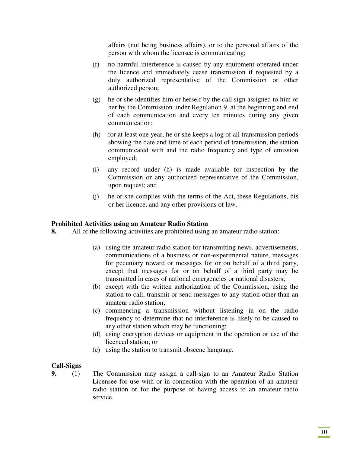affairs (not being business affairs), or to the personal affairs of the person with whom the licensee is communicating;

- (f) no harmful interference is caused by any equipment operated under the licence and immediately cease transmission if requested by a duly authorized representative of the Commission or other authorized person;
- (g) he or she identifies him or herself by the call sign assigned to him or her by the Commission under Regulation 9, at the beginning and end of each communication and every ten minutes during any given communication;
- (h) for at least one year, he or she keeps a log of all transmission periods showing the date and time of each period of transmission, the station communicated with and the radio frequency and type of emission employed;
- (i) any record under (h) is made available for inspection by the Commission or any authorized representative of the Commission, upon request; and
- (j) he or she complies with the terms of the Act, these Regulations, his or her licence, and any other provisions of law.

### **Prohibited Activities using an Amateur Radio Station**

- **8.** All of the following activities are prohibited using an amateur radio station:
	- (a) using the amateur radio station for transmitting news, advertisements, communications of a business or non-experimental nature, messages for pecuniary reward or messages for or on behalf of a third party, except that messages for or on behalf of a third party may be transmitted in cases of national emergencies or national disasters;
	- (b) except with the written authorization of the Commission, using the station to call, transmit or send messages to any station other than an amateur radio station;
	- (c) commencing a transmission without listening in on the radio frequency to determine that no interference is likely to be caused to any other station which may be functioning;
	- (d) using encryption devices or equipment in the operation or use of the licenced station; or
	- (e) using the station to transmit obscene language.

### **Call-Signs**

**9.** (1) The Commission may assign a call-sign to an Amateur Radio Station Licensee for use with or in connection with the operation of an amateur radio station or for the purpose of having access to an amateur radio service.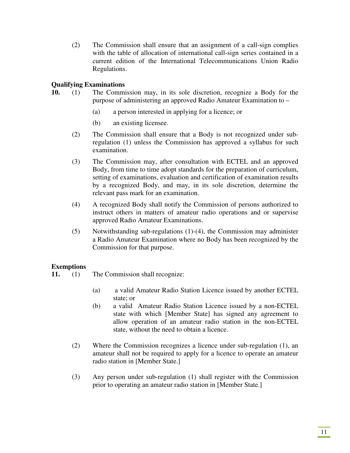(2) The Commission shall ensure that an assignment of a call-sign complies with the table of allocation of international call-sign series contained in a current edition of the International Telecommunications Union Radio Regulations.

### **Qualifying Examinations**

- **10.** (1) The Commission may, in its sole discretion, recognize a Body for the purpose of administering an approved Radio Amateur Examination to –
	- (a) a person interested in applying for a licence; or
	- (b) an existing licensee.
	- (2) The Commission shall ensure that a Body is not recognized under subregulation (1) unless the Commission has approved a syllabus for such examination.
	- (3) The Commission may, after consultation with ECTEL and an approved Body, from time to time adopt standards for the preparation of curriculum, setting of examinations, evaluation and certification of examination results by a recognized Body, and may, in its sole discretion, determine the relevant pass mark for an examination.
	- (4) A recognized Body shall notify the Commission of persons authorized to instruct others in matters of amateur radio operations and or supervise approved Radio Amateur Examinations.
	- (5) Notwithstanding sub-regulations (1)-(4), the Commission may administer a Radio Amateur Examination where no Body has been recognized by the Commission for that purpose.

### **Exemptions**

- **11.** (1) The Commission shall recognize:
	- (a) a valid Amateur Radio Station Licence issued by another ECTEL state; or
	- (b) a valid Amateur Radio Station Licence issued by a non-ECTEL state with which [Member State] has signed any agreement to allow operation of an amateur radio station in the non-ECTEL state, without the need to obtain a licence.
	- (2) Where the Commission recognizes a licence under sub-regulation (1), an amateur shall not be required to apply for a licence to operate an amateur radio station in [Member State.]
	- (3) Any person under sub-regulation (1) shall register with the Commission prior to operating an amateur radio station in [Member State.]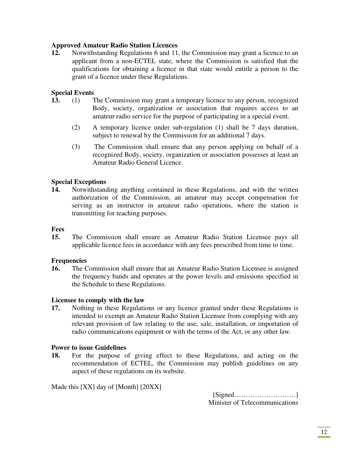### **Approved Amateur Radio Station Licences**

**12.** Notwithstanding Regulations 6 and 11, the Commission may grant a licence to an applicant from a non-ECTEL state, where the Commission is satisfied that the qualifications for obtaining a licence in that state would entitle a person to the grant of a licence under these Regulations.

### **Special Events**

- **13.** (1) The Commission may grant a temporary licence to any person, recognized Body, society, organization or association that requires access to an amateur radio service for the purpose of participating in a special event.
	- (2) A temporary licence under sub-regulation (1) shall be 7 days duration, subject to renewal by the Commission for an additional 7 days.
	- (3) The Commission shall ensure that any person applying on behalf of a recognized Body, society, organization or association possesses at least an Amateur Radio General Licence.

### **Special Exceptions**

**14.** Notwithstanding anything contained in these Regulations, and with the written authorization of the Commission, an amateur may accept compensation for serving as an instructor in amateur radio operations, where the station is transmitting for teaching purposes.

#### **Fees**

**15.** The Commission shall ensure an Amateur Radio Station Licensee pays all applicable licence fees in accordance with any fees prescribed from time to time.

### **Frequencies**

**16.** The Commission shall ensure that an Amateur Radio Station Licensee is assigned the frequency bands and operates at the power levels and emissions specified in the Schedule to these Regulations.

### **Licensee to comply with the law**

**17.** Nothing in these Regulations or any licence granted under these Regulations is intended to exempt an Amateur Radio Station Licensee from complying with any relevant provision of law relating to the use, sale, installation, or importation of radio communications equipment or with the terms of the Act, or any other law.

### **Power to issue Guidelines**

**18.** For the purpose of giving effect to these Regulations, and acting on the recommendation of ECTEL, the Commission may publish guidelines on any aspect of these regulations on its website.

Made this [XX] day of [Month] [20XX]

[Signed………………………] Minister of Telecommunications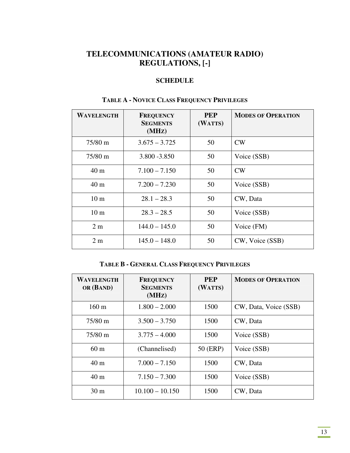# **TELECOMMUNICATIONS (AMATEUR RADIO) REGULATIONS, [-]**

# **SCHEDULE**

| WAVELENGTH        | <b>FREQUENCY</b><br><b>SEGMENTS</b><br>(MHz) | <b>PEP</b><br>(WATTS) | <b>MODES OF OPERATION</b> |
|-------------------|----------------------------------------------|-----------------------|---------------------------|
| $75/80 \text{ m}$ | $3.675 - 3.725$                              | 50                    | CW                        |
| $75/80 \text{ m}$ | 3.800 - 3.850                                | 50                    | Voice (SSB)               |
| 40 <sub>m</sub>   | $7.100 - 7.150$                              | 50                    | CW                        |
| 40 <sub>m</sub>   | $7.200 - 7.230$                              | 50                    | Voice (SSB)               |
| 10 <sub>m</sub>   | $28.1 - 28.3$                                | 50                    | CW, Data                  |
| 10 <sub>m</sub>   | $28.3 - 28.5$                                | 50                    | Voice (SSB)               |
| 2m                | $144.0 - 145.0$                              | 50                    | Voice (FM)                |
| 2 <sub>m</sub>    | $145.0 - 148.0$                              | 50                    | CW, Voice (SSB)           |

# **TABLE A - NOVICE CLASS FREQUENCY PRIVILEGES**

### **TABLE B - GENERAL CLASS FREQUENCY PRIVILEGES**

| <b>WAVELENGTH</b><br>OR (BAND) | <b>FREQUENCY</b><br><b>SEGMENTS</b><br>(MHz) | <b>PEP</b><br>(WATTS) | <b>MODES OF OPERATION</b> |
|--------------------------------|----------------------------------------------|-----------------------|---------------------------|
| $160 \text{ m}$                | $1.800 - 2.000$                              | 1500                  | CW, Data, Voice (SSB)     |
| $75/80 \text{ m}$              | $3.500 - 3.750$                              | 1500                  | CW, Data                  |
| $75/80 \text{ m}$              | $3.775 - 4.000$                              | 1500                  | Voice (SSB)               |
| 60 <sub>m</sub>                | (Channelised)                                | 50 (ERP)              | Voice (SSB)               |
| 40 <sub>m</sub>                | $7.000 - 7.150$                              | 1500                  | CW, Data                  |
| 40 <sub>m</sub>                | $7.150 - 7.300$                              | 1500                  | Voice (SSB)               |
| 30 <sub>m</sub>                | $10.100 - 10.150$                            | 1500                  | CW, Data                  |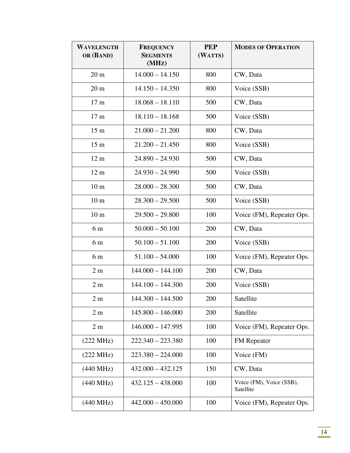| WAVELENGTH<br>OR (BAND) | <b>FREQUENCY</b><br><b>SEGMENTS</b><br>(MHZ) | <b>PEP</b><br>(WATTS) | <b>MODES OF OPERATION</b>             |
|-------------------------|----------------------------------------------|-----------------------|---------------------------------------|
| $20 \text{ m}$          | $14.000 - 14.150$                            | 800                   | CW, Data                              |
| 20 <sub>m</sub>         | $14.150 - 14.350$                            | 800                   | Voice (SSB)                           |
| 17 <sub>m</sub>         | $18.068 - 18.110$                            | 500                   | CW, Data                              |
| 17 <sub>m</sub>         | $18.110 - 18.168$                            | 500                   | Voice (SSB)                           |
| 15 <sub>m</sub>         | $21.000 - 21.200$                            | 800                   | CW, Data                              |
| 15 <sub>m</sub>         | $21.200 - 21.450$                            | 800                   | Voice (SSB)                           |
| 12 <sub>m</sub>         | $24.890 - 24.930$                            | 500                   | CW, Data                              |
| 12 <sub>m</sub>         | $24.930 - 24.990$                            | 500                   | Voice (SSB)                           |
| 10 <sub>m</sub>         | $28.000 - 28.300$                            | 500                   | CW, Data                              |
| 10 <sub>m</sub>         | $28.300 - 29.500$                            | 500                   | Voice (SSB)                           |
| 10 <sub>m</sub>         | $29.500 - 29.800$                            | 100                   | Voice (FM), Repeater Ops.             |
| 6 m                     | $50.000 - 50.100$                            | 200                   | CW, Data                              |
| 6 m                     | $50.100 - 51.100$                            | 200                   | Voice (SSB)                           |
| 6 m                     | $51.100 - 54.000$                            | 100                   | Voice (FM), Repeater Ops.             |
| 2m                      | $144.000 - 144.100$                          | 200                   | CW, Data                              |
| 2 <sub>m</sub>          | $144.100 - 144.300$                          | 200                   | Voice (SSB)                           |
| 2m                      | $144.300 - 144.500$                          | 200                   | Satellite                             |
| 2 <sub>m</sub>          | $145.800 - 146.000$                          | 200                   | Satellite                             |
| 2m                      | $146.000 - 147.995$                          | 100                   | Voice (FM), Repeater Ops.             |
| $(222 \text{ MHz})$     | $222.340 - 223.380$                          | 100                   | FM Repeater                           |
| $(222 \text{ MHz})$     | $223.380 - 224.000$                          | 100                   | Voice (FM)                            |
| $(440 \text{ MHz})$     | $432.000 - 432.125$                          | 150                   | CW, Data                              |
| $(440 \text{ MHz})$     | $432.125 - 438.000$                          | 100                   | Voice (FM), Voice (SSB),<br>Satellite |
| $(440 \text{ MHz})$     | $442.000 - 450.000$                          | 100                   | Voice (FM), Repeater Ops.             |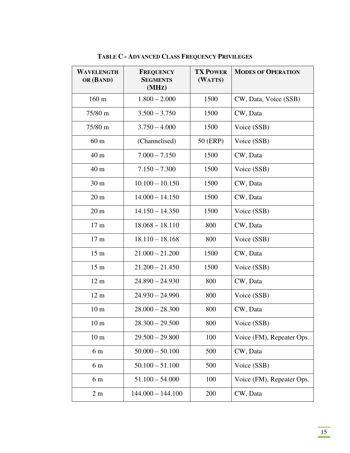| <b>WAVELENGTH</b><br>OR (BAND) | <b>FREQUENCY</b><br><b>SEGMENTS</b><br>(MHz) | <b>TX POWER</b><br>(WATTS) | <b>MODES OF OPERATION</b> |
|--------------------------------|----------------------------------------------|----------------------------|---------------------------|
| 160 m                          | $1.800 - 2.000$                              | 1500                       | CW, Data, Voice (SSB)     |
| 75/80 m                        | $3.500 - 3.750$                              | 1500                       | CW, Data                  |
| 75/80 m                        | $3.750 - 4.000$                              | 1500                       | Voice (SSB)               |
| 60 <sub>m</sub>                | (Channelised)                                | 50 (ERP)                   | Voice (SSB)               |
| 40 m                           | $7.000 - 7.150$                              | 1500                       | CW, Data                  |
| 40 m                           | $7.150 - 7.300$                              | 1500                       | Voice (SSB)               |
| 30 <sub>m</sub>                | $10.100 - 10.150$                            | 1500                       | CW, Data                  |
| 20 <sub>m</sub>                | $14.000 - 14.150$                            | 1500                       | CW, Data                  |
| 20 <sub>m</sub>                | $14.150 - 14.350$                            | 1500                       | Voice (SSB)               |
| 17 <sub>m</sub>                | $18.068 - 18.110$                            | 800                        | CW, Data                  |
| 17 <sub>m</sub>                | $18.110 - 18.168$                            | 800                        | Voice (SSB)               |
| 15 <sub>m</sub>                | $21.000 - 21.200$                            | 1500                       | CW, Data                  |
| 15 <sub>m</sub>                | $21.200 - 21.450$                            | 1500                       | Voice (SSB)               |
| 12 <sub>m</sub>                | $24.890 - 24.930$                            | 800                        | CW, Data                  |
| 12 <sub>m</sub>                | $24.930 - 24.990$                            | 800                        | Voice (SSB)               |
| 10 <sub>m</sub>                | $28.000 - 28.300$                            | 800                        | CW, Data                  |
| 10 <sub>m</sub>                | $28.300 - 29.500$                            | 800                        | Voice (SSB)               |
| 10 <sub>m</sub>                | $29.500 - 29.800$                            | 100                        | Voice (FM), Repeater Ops. |
| 6 m                            | $50.000 - 50.100$                            | 500                        | CW, Data                  |
| 6 m                            | $50.100 - 51.100$                            | 500                        | Voice (SSB)               |
| 6 m                            | $51.100 - 54.000$                            | 100                        | Voice (FM), Repeater Ops. |
| 2 <sub>m</sub>                 | $144.000 - 144.100$                          | 200                        | CW, Data                  |

**TABLE C - ADVANCED CLASS FREQUENCY PRIVILEGES**